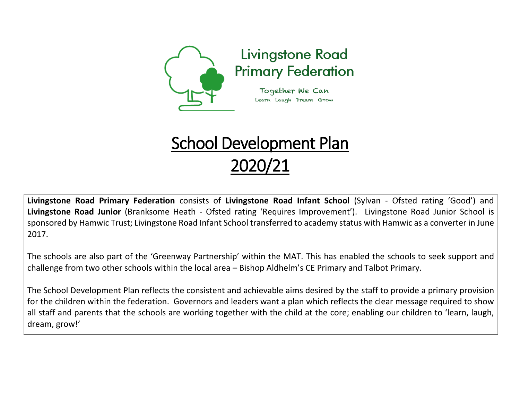

## School Development Plan 2020/21

**Livingstone Road Primary Federation** consists of **Livingstone Road Infant School** (Sylvan - Ofsted rating 'Good') and **Livingstone Road Junior** (Branksome Heath - Ofsted rating 'Requires Improvement'). Livingstone Road Junior School is sponsored by Hamwic Trust; Livingstone Road Infant School transferred to academy status with Hamwic as a converter in June 2017.

The schools are also part of the 'Greenway Partnership' within the MAT. This has enabled the schools to seek support and challenge from two other schools within the local area – Bishop Aldhelm's CE Primary and Talbot Primary.

The School Development Plan reflects the consistent and achievable aims desired by the staff to provide a primary provision for the children within the federation. Governors and leaders want a plan which reflects the clear message required to show all staff and parents that the schools are working together with the child at the core; enabling our children to 'learn, laugh, dream, grow!'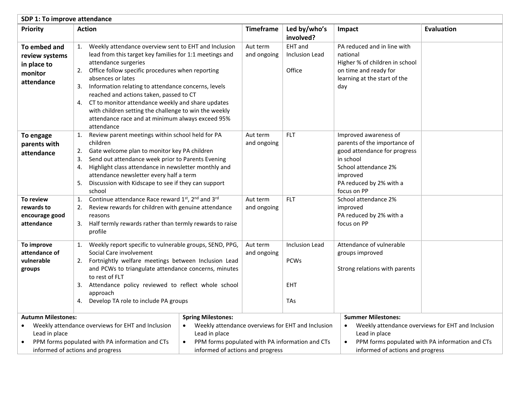| SDP 1: To improve attendance                                                                                                                                                           |                                                                                                                                                                                                                                                                                                                                                                                                                                                                                                                   |                                                                                                                                                                                                                  |                                                                  |                                                                                                                                                                                  |                                                                                                      |  |
|----------------------------------------------------------------------------------------------------------------------------------------------------------------------------------------|-------------------------------------------------------------------------------------------------------------------------------------------------------------------------------------------------------------------------------------------------------------------------------------------------------------------------------------------------------------------------------------------------------------------------------------------------------------------------------------------------------------------|------------------------------------------------------------------------------------------------------------------------------------------------------------------------------------------------------------------|------------------------------------------------------------------|----------------------------------------------------------------------------------------------------------------------------------------------------------------------------------|------------------------------------------------------------------------------------------------------|--|
| <b>Priority</b>                                                                                                                                                                        | <b>Action</b>                                                                                                                                                                                                                                                                                                                                                                                                                                                                                                     | Timeframe                                                                                                                                                                                                        | Led by/who's<br>involved?                                        | Impact                                                                                                                                                                           | <b>Evaluation</b>                                                                                    |  |
| To embed and<br>review systems<br>in place to<br>monitor<br>attendance                                                                                                                 | Weekly attendance overview sent to EHT and Inclusion<br>1.<br>lead from this target key families for 1:1 meetings and<br>attendance surgeries<br>2. Office follow specific procedures when reporting<br>absences or lates<br>3. Information relating to attendance concerns, levels<br>reached and actions taken, passed to CT<br>4. CT to monitor attendance weekly and share updates<br>with children setting the challenge to win the weekly<br>attendance race and at minimum always exceed 95%<br>attendance | Aut term<br>and ongoing                                                                                                                                                                                          | EHT and<br>Inclusion Lead<br>Office                              | PA reduced and in line with<br>national<br>Higher % of children in school<br>on time and ready for<br>learning at the start of the<br>day                                        |                                                                                                      |  |
| To engage<br>parents with<br>attendance                                                                                                                                                | 1. Review parent meetings within school held for PA<br>children<br>Gate welcome plan to monitor key PA children<br>2.<br>Send out attendance week prior to Parents Evening<br>3.<br>Highlight class attendance in newsletter monthly and<br>4.<br>attendance newsletter every half a term<br>5.<br>Discussion with Kidscape to see if they can support<br>school                                                                                                                                                  | Aut term<br>and ongoing                                                                                                                                                                                          | <b>FLT</b>                                                       | Improved awareness of<br>parents of the importance of<br>good attendance for progress<br>in school<br>School attendance 2%<br>improved<br>PA reduced by 2% with a<br>focus on PP |                                                                                                      |  |
| To review<br>rewards to<br>encourage good<br>attendance                                                                                                                                | Continue attendance Race reward 1st, 2nd and 3rd<br>1.<br>Review rewards for children with genuine attendance<br>2.<br>reasons<br>3.<br>Half termly rewards rather than termly rewards to raise<br>profile                                                                                                                                                                                                                                                                                                        | Aut term<br>and ongoing                                                                                                                                                                                          | <b>FLT</b>                                                       | School attendance 2%<br>improved<br>PA reduced by 2% with a<br>focus on PP                                                                                                       |                                                                                                      |  |
| To improve<br>attendance of<br>vulnerable<br>groups                                                                                                                                    | 1. Weekly report specific to vulnerable groups, SEND, PPG,<br>Social Care involvement<br>2. Fortnightly welfare meetings between Inclusion Lead<br>and PCWs to triangulate attendance concerns, minutes<br>to rest of FLT<br>3. Attendance policy reviewed to reflect whole school<br>approach<br>Develop TA role to include PA groups<br>4.                                                                                                                                                                      | Aut term<br>and ongoing                                                                                                                                                                                          | <b>Inclusion Lead</b><br><b>PCWs</b><br><b>EHT</b><br><b>TAs</b> | Attendance of vulnerable<br>groups improved<br>Strong relations with parents                                                                                                     |                                                                                                      |  |
| <b>Autumn Milestones:</b><br>Weekly attendance overviews for EHT and Inclusion<br>Lead in place<br>PPM forms populated with PA information and CTs<br>informed of actions and progress |                                                                                                                                                                                                                                                                                                                                                                                                                                                                                                                   | <b>Spring Milestones:</b><br>Weekly attendance overviews for EHT and Inclusion<br>$\bullet$<br>Lead in place<br>PPM forms populated with PA information and CTs<br>$\bullet$<br>informed of actions and progress |                                                                  | <b>Summer Milestones:</b><br>$\bullet$<br>Lead in place<br>$\bullet$<br>informed of actions and progress                                                                         | Weekly attendance overviews for EHT and Inclusion<br>PPM forms populated with PA information and CTs |  |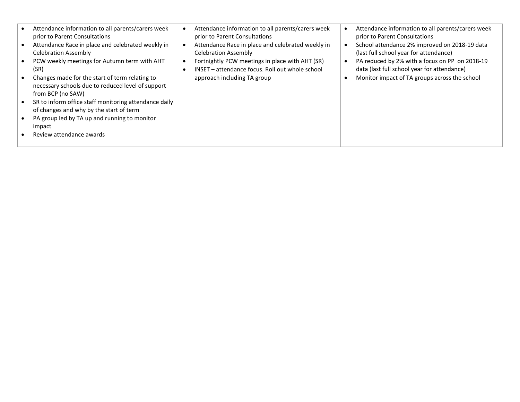| $\bullet$<br>$\bullet$<br>$\bullet$<br>$\bullet$<br>$\bullet$ | Attendance information to all parents/carers week<br>prior to Parent Consultations<br>Attendance Race in place and celebrated weekly in<br><b>Celebration Assembly</b><br>PCW weekly meetings for Autumn term with AHT<br>(SR)<br>Changes made for the start of term relating to<br>necessary schools due to reduced level of support<br>from BCP (no SAW)<br>SR to inform office staff monitoring attendance daily<br>of changes and why by the start of term<br>PA group led by TA up and running to monitor<br>impact | Attendance information to all parents/carers week<br>prior to Parent Consultations<br>Attendance Race in place and celebrated weekly in<br><b>Celebration Assembly</b><br>Fortnightly PCW meetings in place with AHT (SR)<br>INSET - attendance focus. Roll out whole school<br>approach including TA group | Attendance information to all parents/carers week<br>prior to Parent Consultations<br>School attendance 2% improved on 2018-19 data<br>(last full school year for attendance)<br>PA reduced by 2% with a focus on PP on 2018-19<br>data (last full school year for attendance)<br>Monitor impact of TA groups across the school |
|---------------------------------------------------------------|--------------------------------------------------------------------------------------------------------------------------------------------------------------------------------------------------------------------------------------------------------------------------------------------------------------------------------------------------------------------------------------------------------------------------------------------------------------------------------------------------------------------------|-------------------------------------------------------------------------------------------------------------------------------------------------------------------------------------------------------------------------------------------------------------------------------------------------------------|---------------------------------------------------------------------------------------------------------------------------------------------------------------------------------------------------------------------------------------------------------------------------------------------------------------------------------|
|                                                               | Review attendance awards                                                                                                                                                                                                                                                                                                                                                                                                                                                                                                 |                                                                                                                                                                                                                                                                                                             |                                                                                                                                                                                                                                                                                                                                 |
|                                                               |                                                                                                                                                                                                                                                                                                                                                                                                                                                                                                                          |                                                                                                                                                                                                                                                                                                             |                                                                                                                                                                                                                                                                                                                                 |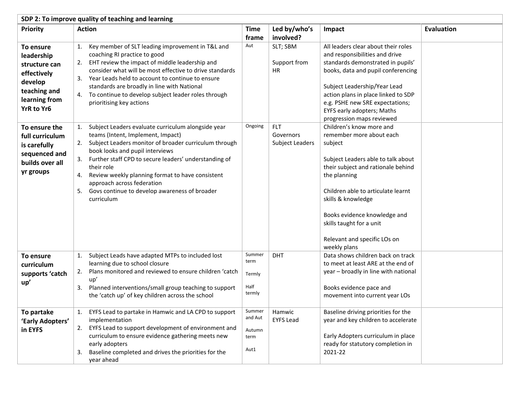| SDP 2: To improve quality of teaching and learning                                                                |                                                                                                                                                                                                                                                                                                                                                                                                                               |                                             |                                            |                                                                                                                                                                                                                                                                                                                                     |                   |  |
|-------------------------------------------------------------------------------------------------------------------|-------------------------------------------------------------------------------------------------------------------------------------------------------------------------------------------------------------------------------------------------------------------------------------------------------------------------------------------------------------------------------------------------------------------------------|---------------------------------------------|--------------------------------------------|-------------------------------------------------------------------------------------------------------------------------------------------------------------------------------------------------------------------------------------------------------------------------------------------------------------------------------------|-------------------|--|
| Priority                                                                                                          | <b>Action</b>                                                                                                                                                                                                                                                                                                                                                                                                                 | <b>Time</b>                                 | Led by/who's                               | Impact                                                                                                                                                                                                                                                                                                                              | <b>Evaluation</b> |  |
|                                                                                                                   |                                                                                                                                                                                                                                                                                                                                                                                                                               | frame                                       | involved?                                  |                                                                                                                                                                                                                                                                                                                                     |                   |  |
| To ensure<br>leadership<br>structure can<br>effectively<br>develop<br>teaching and<br>learning from<br>YrR to Yr6 | Key member of SLT leading improvement in T&L and<br>1.<br>coaching RI practice to good<br>EHT review the impact of middle leadership and<br>2.<br>consider what will be most effective to drive standards<br>3. Year Leads held to account to continue to ensure<br>standards are broadly in line with National<br>4. To continue to develop subject leader roles through<br>prioritising key actions                         | Aut                                         | SLT; SBM<br>Support from<br><b>HR</b>      | All leaders clear about their roles<br>and responsibilities and drive<br>standards demonstrated in pupils'<br>books, data and pupil conferencing<br>Subject Leadership/Year Lead<br>action plans in place linked to SDP<br>e.g. PSHE new SRE expectations;<br>EYFS early adopters; Maths<br>progression maps reviewed               |                   |  |
| To ensure the<br>full curriculum<br>is carefully<br>sequenced and<br>builds over all<br>yr groups                 | Subject Leaders evaluate curriculum alongside year<br>1.<br>teams (Intent, Implement, Impact)<br>2. Subject Leaders monitor of broader curriculum through<br>book looks and pupil interviews<br>Further staff CPD to secure leaders' understanding of<br>their role<br>Review weekly planning format to have consistent<br>4.<br>approach across federation<br>5. Govs continue to develop awareness of broader<br>curriculum | Ongoing                                     | <b>FLT</b><br>Governors<br>Subject Leaders | Children's know more and<br>remember more about each<br>subject<br>Subject Leaders able to talk about<br>their subject and rationale behind<br>the planning<br>Children able to articulate learnt<br>skills & knowledge<br>Books evidence knowledge and<br>skills taught for a unit<br>Relevant and specific LOs on<br>weekly plans |                   |  |
| To ensure<br>curriculum<br>supports 'catch<br>up'                                                                 | Subject Leads have adapted MTPs to included lost<br>1.<br>learning due to school closure<br>Plans monitored and reviewed to ensure children 'catch<br>2.<br>up'<br>Planned interventions/small group teaching to support<br>3.<br>the 'catch up' of key children across the school                                                                                                                                            | Summer<br>term<br>Termly<br>Half<br>termly  | <b>DHT</b>                                 | Data shows children back on track<br>to meet at least ARE at the end of<br>year - broadly in line with national<br>Books evidence pace and<br>movement into current year LOs                                                                                                                                                        |                   |  |
| To partake<br>'Early Adopters'<br>in EYFS                                                                         | 1. EYFS Lead to partake in Hamwic and LA CPD to support<br>implementation<br>EYFS Lead to support development of environment and<br>2.<br>curriculum to ensure evidence gathering meets new<br>early adopters<br>Baseline completed and drives the priorities for the<br>3.<br>year ahead                                                                                                                                     | Summer<br>and Aut<br>Autumn<br>term<br>Aut1 | Hamwic<br><b>EYFS Lead</b>                 | Baseline driving priorities for the<br>year and key children to accelerate<br>Early Adopters curriculum in place<br>ready for statutory completion in<br>2021-22                                                                                                                                                                    |                   |  |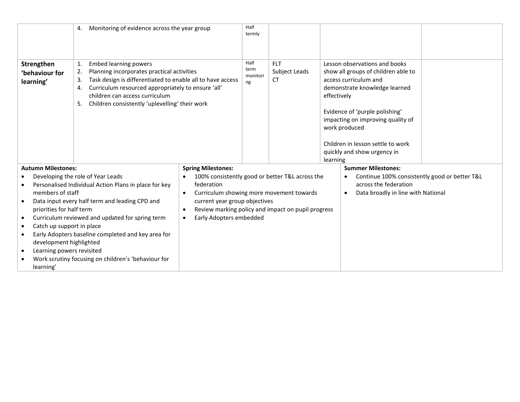|                                                                                                                                                                                                                                                                                                                                                         | Monitoring of evidence across the year group<br>4.    |                                                       | Half<br>termly                                  |             |                                                                                                                                |                                                                                                                                                          |  |
|---------------------------------------------------------------------------------------------------------------------------------------------------------------------------------------------------------------------------------------------------------------------------------------------------------------------------------------------------------|-------------------------------------------------------|-------------------------------------------------------|-------------------------------------------------|-------------|--------------------------------------------------------------------------------------------------------------------------------|----------------------------------------------------------------------------------------------------------------------------------------------------------|--|
| Strengthen<br><b>Embed learning powers</b><br>1.<br>Planning incorporates practical activities<br>2.<br>'behaviour for<br>Task design is differentiated to enable all to have access<br>learning'<br>Curriculum resourced appropriately to ensure 'all'<br>4.<br>children can access curriculum<br>Children consistently 'uplevelling' their work<br>5. |                                                       | Half<br>term<br>monitori<br>ng                        | <b>FLT</b><br>Subject Leads<br>СT               | effectively | Lesson observations and books<br>show all groups of children able to<br>access curriculum and<br>demonstrate knowledge learned |                                                                                                                                                          |  |
|                                                                                                                                                                                                                                                                                                                                                         |                                                       |                                                       |                                                 |             |                                                                                                                                | Evidence of 'purple polishing'<br>impacting on improving quality of<br>work produced<br>Children in lesson settle to work<br>quickly and show urgency in |  |
| <b>Autumn Milestones:</b>                                                                                                                                                                                                                                                                                                                               |                                                       | <b>Spring Milestones:</b>                             |                                                 |             | learning                                                                                                                       | <b>Summer Milestones:</b>                                                                                                                                |  |
|                                                                                                                                                                                                                                                                                                                                                         | Developing the role of Year Leads                     |                                                       | 100% consistently good or better T&L across the |             |                                                                                                                                | Continue 100% consistently good or better T&L                                                                                                            |  |
|                                                                                                                                                                                                                                                                                                                                                         | Personalised Individual Action Plans in place for key | federation                                            |                                                 |             |                                                                                                                                | across the federation                                                                                                                                    |  |
| members of staff                                                                                                                                                                                                                                                                                                                                        |                                                       | Curriculum showing more movement towards<br>$\bullet$ |                                                 |             |                                                                                                                                | Data broadly in line with National<br>$\bullet$                                                                                                          |  |
|                                                                                                                                                                                                                                                                                                                                                         | Data input every half term and leading CPD and        | current year group objectives                         |                                                 |             |                                                                                                                                |                                                                                                                                                          |  |
| priorities for half term                                                                                                                                                                                                                                                                                                                                |                                                       | Review marking policy and impact on pupil progress    |                                                 |             |                                                                                                                                |                                                                                                                                                          |  |
| Curriculum reviewed and updated for spring term                                                                                                                                                                                                                                                                                                         |                                                       | Early Adopters embedded                               |                                                 |             |                                                                                                                                |                                                                                                                                                          |  |
| Catch up support in place<br>$\bullet$                                                                                                                                                                                                                                                                                                                  |                                                       |                                                       |                                                 |             |                                                                                                                                |                                                                                                                                                          |  |
| Early Adopters baseline completed and key area for                                                                                                                                                                                                                                                                                                      |                                                       |                                                       |                                                 |             |                                                                                                                                |                                                                                                                                                          |  |
| development highlighted<br>Learning powers revisited                                                                                                                                                                                                                                                                                                    |                                                       |                                                       |                                                 |             |                                                                                                                                |                                                                                                                                                          |  |
|                                                                                                                                                                                                                                                                                                                                                         | Work scrutiny focusing on children's 'behaviour for   |                                                       |                                                 |             |                                                                                                                                |                                                                                                                                                          |  |
| learning'                                                                                                                                                                                                                                                                                                                                               |                                                       |                                                       |                                                 |             |                                                                                                                                |                                                                                                                                                          |  |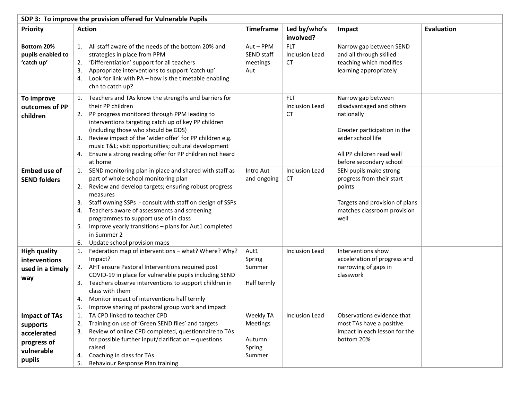| SDP 3: To improve the provision offered for Vulnerable Pupils                          |                                                                                                                                                                                                                                                                                                                                                                                                                                                                 |                                                     |                                           |                                                                                                                                                                           |                   |
|----------------------------------------------------------------------------------------|-----------------------------------------------------------------------------------------------------------------------------------------------------------------------------------------------------------------------------------------------------------------------------------------------------------------------------------------------------------------------------------------------------------------------------------------------------------------|-----------------------------------------------------|-------------------------------------------|---------------------------------------------------------------------------------------------------------------------------------------------------------------------------|-------------------|
| Priority                                                                               | <b>Action</b>                                                                                                                                                                                                                                                                                                                                                                                                                                                   | <b>Timeframe</b>                                    | Led by/who's<br>involved?                 | Impact                                                                                                                                                                    | <b>Evaluation</b> |
| Bottom 20%<br>pupils enabled to<br>'catch up'                                          | 1. All staff aware of the needs of the bottom 20% and<br>strategies in place from PPM<br>'Differentiation' support for all teachers<br>2.<br>Appropriate interventions to support 'catch up'<br>3.<br>Look for link with PA - how is the timetable enabling<br>4.<br>chn to catch up?                                                                                                                                                                           | Aut-PPM<br>SEND staff<br>meetings<br>Aut            | <b>FLT</b><br><b>Inclusion Lead</b><br>CT | Narrow gap between SEND<br>and all through skilled<br>teaching which modifies<br>learning appropriately                                                                   |                   |
| To improve<br>outcomes of PP<br>children                                               | Teachers and TAs know the strengths and barriers for<br>1.<br>their PP children<br>PP progress monitored through PPM leading to<br>2.<br>interventions targeting catch up of key PP children<br>(including those who should be GDS)<br>Review impact of the 'wider offer' for PP children e.g.<br>3.<br>music T&L visit opportunities; cultural development<br>Ensure a strong reading offer for PP children not heard<br>4.<br>at home                         |                                                     | <b>FLT</b><br>Inclusion Lead<br><b>CT</b> | Narrow gap between<br>disadvantaged and others<br>nationally<br>Greater participation in the<br>wider school life<br>All PP children read well<br>before secondary school |                   |
| <b>Embed use of</b><br><b>SEND folders</b>                                             | 1. SEND monitoring plan in place and shared with staff as<br>part of whole school monitoring plan<br>Review and develop targets; ensuring robust progress<br>2.<br>measures<br>Staff owning SSPs - consult with staff on design of SSPs<br>3.<br>Teachers aware of assessments and screening<br>4.<br>programmes to support use of in class<br>Improve yearly transitions - plans for Aut1 completed<br>5.<br>in Summer 2<br>Update school provision maps<br>6. | Intro Aut<br>and ongoing                            | Inclusion Lead<br>CT                      | SEN pupils make strong<br>progress from their start<br>points<br>Targets and provision of plans<br>matches classroom provision<br>well                                    |                   |
| <b>High quality</b><br>interventions<br>used in a timely<br>way                        | Federation map of interventions - what? Where? Why?<br>1.<br>Impact?<br>2. AHT ensure Pastoral Interventions required post<br>COVID-19 in place for vulnerable pupils including SEND<br>Teachers observe interventions to support children in<br>3.<br>class with them<br>Monitor impact of interventions half termly<br>4.<br>5.<br>Improve sharing of pastoral group work and impact                                                                          | Aut1<br>Spring<br>Summer<br>Half termly             | Inclusion Lead                            | Interventions show<br>acceleration of progress and<br>narrowing of gaps in<br>classwork                                                                                   |                   |
| <b>Impact of TAs</b><br>supports<br>accelerated<br>progress of<br>vulnerable<br>pupils | 1. TA CPD linked to teacher CPD<br>Training on use of 'Green SEND files' and targets<br>2.<br>Review of online CPD completed, questionnaire to TAs<br>3.<br>for possible further input/clarification $-$ questions<br>raised<br>Coaching in class for TAs<br>4.<br>Behaviour Response Plan training<br>5.                                                                                                                                                       | Weekly TA<br>Meetings<br>Autumn<br>Spring<br>Summer | Inclusion Lead                            | Observations evidence that<br>most TAs have a positive<br>impact in each lesson for the<br>bottom 20%                                                                     |                   |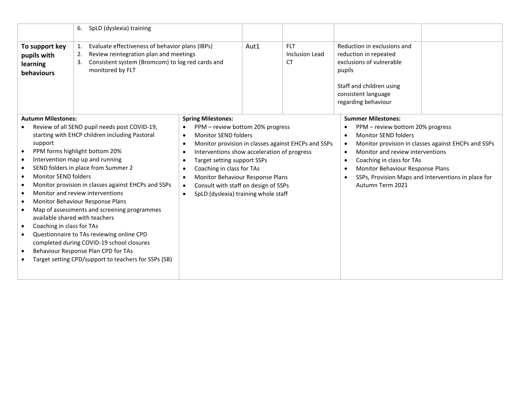|                                                                                                                                                                                                                                                                                                                                                                                                                                                                                                                                                                                                                                                                                                                                                                                                                                                                                                                                                                                                                                                                                                                                                             | SpLD (dyslexia) training<br>6. |      |                                                     |                                                                                                                                                                                                                                                                                                   |                                                                                                            |  |
|-------------------------------------------------------------------------------------------------------------------------------------------------------------------------------------------------------------------------------------------------------------------------------------------------------------------------------------------------------------------------------------------------------------------------------------------------------------------------------------------------------------------------------------------------------------------------------------------------------------------------------------------------------------------------------------------------------------------------------------------------------------------------------------------------------------------------------------------------------------------------------------------------------------------------------------------------------------------------------------------------------------------------------------------------------------------------------------------------------------------------------------------------------------|--------------------------------|------|-----------------------------------------------------|---------------------------------------------------------------------------------------------------------------------------------------------------------------------------------------------------------------------------------------------------------------------------------------------------|------------------------------------------------------------------------------------------------------------|--|
| Evaluate effectiveness of behavior plans (IBPs)<br>To support key<br>1.<br>Review reintegration plan and meetings<br>pupils with<br>2.<br>Consistent system (Bromcom) to log red cards and<br>3.<br>learning<br>monitored by FLT<br><b>behaviours</b>                                                                                                                                                                                                                                                                                                                                                                                                                                                                                                                                                                                                                                                                                                                                                                                                                                                                                                       |                                | Aut1 | <b>FLT</b><br><b>Inclusion Lead</b><br><b>CT</b>    | Reduction in exclusions and<br>reduction in repeated<br>exclusions of vulnerable<br>pupils<br>Staff and children using<br>consistent language<br>regarding behaviour                                                                                                                              |                                                                                                            |  |
| <b>Autumn Milestones:</b><br><b>Spring Milestones:</b><br>Review of all SEND pupil needs post COVID-19,<br>PPM - review bottom 20% progress<br>starting with EHCP children including Pastoral<br>Monitor SEND folders<br>$\bullet$<br>support<br>PPM forms highlight bottom 20%<br>Interventions show acceleration of progress<br>$\bullet$<br>O<br>Intervention map up and running<br>Target setting support SSPs<br>$\bullet$<br>SEND folders in place from Summer 2<br>Coaching in class for TAs<br>$\bullet$<br>$\bullet$<br>Monitor SEND folders<br>Monitor Behaviour Response Plans<br>$\bullet$<br>Monitor provision in classes against EHCPs and SSPs<br>Consult with staff on design of SSPs<br>٠<br>Monitor and review interventions<br>SpLD (dyslexia) training whole staff<br>Monitor Behaviour Response Plans<br>Map of assessments and screening programmes<br>available shared with teachers<br>Coaching in class for TAs<br>$\bullet$<br>Questionnaire to TAs reviewing online CPD<br>$\bullet$<br>completed during COVID-19 school closures<br>Behaviour Response Plan CPD for TAs<br>Target setting CPD/support to teachers for SSPs (SB) |                                |      | Monitor provision in classes against EHCPs and SSPs | <b>Summer Milestones:</b><br>PPM - review bottom 20% progress<br>٠<br>Monitor SEND folders<br>$\bullet$<br>$\bullet$<br>Monitor and review interventions<br>$\bullet$<br>Coaching in class for TAs<br>$\bullet$<br>Monitor Behaviour Response Plans<br>$\bullet$<br>$\bullet$<br>Autumn Term 2021 | Monitor provision in classes against EHCPs and SSPs<br>SSPs, Provision Maps and Interventions in place for |  |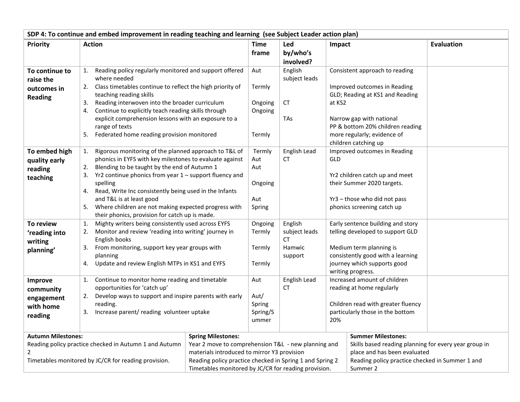| SDP 4: To continue and embed improvement in reading teaching and learning (see Subject Leader action plan) |                                                                      |                                                          |          |                     |        |                                                              |                   |
|------------------------------------------------------------------------------------------------------------|----------------------------------------------------------------------|----------------------------------------------------------|----------|---------------------|--------|--------------------------------------------------------------|-------------------|
| <b>Priority</b>                                                                                            | <b>Action</b>                                                        |                                                          | Time     | Led                 | Impact |                                                              | <b>Evaluation</b> |
|                                                                                                            |                                                                      |                                                          | frame    | by/who's            |        |                                                              |                   |
|                                                                                                            |                                                                      |                                                          |          | involved?           |        |                                                              |                   |
| To continue to                                                                                             | Reading policy regularly monitored and support offered<br>1.         |                                                          | Aut      | English             |        | Consistent approach to reading                               |                   |
| raise the                                                                                                  | where needed                                                         |                                                          |          | subject leads       |        |                                                              |                   |
| outcomes in                                                                                                | 2. Class timetables continue to reflect the high priority of         |                                                          | Termly   |                     |        | Improved outcomes in Reading                                 |                   |
| <b>Reading</b>                                                                                             | teaching reading skills                                              |                                                          |          |                     |        | GLD; Reading at KS1 and Reading                              |                   |
|                                                                                                            | Reading interwoven into the broader curriculum<br>3.                 |                                                          | Ongoing  | <b>CT</b>           | at KS2 |                                                              |                   |
|                                                                                                            | 4. Continue to explicitly teach reading skills through               |                                                          | Ongoing  |                     |        |                                                              |                   |
|                                                                                                            | explicit comprehension lessons with an exposure to a                 |                                                          |          | <b>TAs</b>          |        | Narrow gap with national<br>PP & bottom 20% children reading |                   |
|                                                                                                            | range of texts<br>5. Federated home reading provision monitored      |                                                          | Termly   |                     |        | more regularly; evidence of                                  |                   |
|                                                                                                            |                                                                      |                                                          |          |                     |        | children catching up                                         |                   |
| To embed high                                                                                              | Rigorous monitoring of the planned approach to T&L of<br>1.          |                                                          | Termly   | English Lead        |        | Improved outcomes in Reading                                 |                   |
| quality early                                                                                              | phonics in EYFS with key milestones to evaluate against              |                                                          | Aut      | СT                  | GLD    |                                                              |                   |
| reading                                                                                                    | Blending to be taught by the end of Autumn 1<br>2.                   |                                                          | Aut      |                     |        |                                                              |                   |
| teaching                                                                                                   | 3. Yr2 continue phonics from year 1 - support fluency and            |                                                          |          |                     |        | Yr2 children catch up and meet                               |                   |
|                                                                                                            | spelling                                                             |                                                          | Ongoing  |                     |        | their Summer 2020 targets.                                   |                   |
|                                                                                                            | 4. Read, Write Inc consistently being used in the Infants            |                                                          |          |                     |        |                                                              |                   |
|                                                                                                            | and T&L is at least good                                             |                                                          | Aut      |                     |        | Yr3 - those who did not pass                                 |                   |
|                                                                                                            | 5. Where children are not making expected progress with              |                                                          | Spring   |                     |        | phonics screening catch up                                   |                   |
|                                                                                                            | their phonics, provision for catch up is made.                       |                                                          |          |                     |        |                                                              |                   |
| <b>To review</b>                                                                                           | Mighty writers being consistently used across EYFS<br>1.             |                                                          | Ongoing  | English             |        | Early sentence building and story                            |                   |
| 'reading into                                                                                              | Monitor and review 'reading into writing' journey in<br>2.           |                                                          | Termly   | subject leads<br>СT |        | telling developed to support GLD                             |                   |
| writing                                                                                                    | English books<br>From monitoring, support key year groups with<br>3. |                                                          | Termly   | Hamwic              |        | Medium term planning is                                      |                   |
| planning'                                                                                                  | planning                                                             |                                                          |          | support             |        | consistently good with a learning                            |                   |
|                                                                                                            | Update and review English MTPs in KS1 and EYFS<br>4.                 |                                                          | Termly   |                     |        | journey which supports good                                  |                   |
|                                                                                                            |                                                                      |                                                          |          |                     |        | writing progress.                                            |                   |
| Improve                                                                                                    | Continue to monitor home reading and timetable<br>1.                 |                                                          | Aut      | English Lead        |        | Increased amount of children                                 |                   |
| community                                                                                                  | opportunities for 'catch up'                                         |                                                          |          | СT                  |        | reading at home regularly                                    |                   |
| engagement                                                                                                 | Develop ways to support and inspire parents with early<br>2.         |                                                          | Aut/     |                     |        |                                                              |                   |
| with home                                                                                                  | reading.                                                             |                                                          | Spring   |                     |        | Children read with greater fluency                           |                   |
| reading                                                                                                    | 3. Increase parent/ reading volunteer uptake                         |                                                          | Spring/S |                     |        | particularly those in the bottom                             |                   |
|                                                                                                            |                                                                      |                                                          | ummer    |                     | 20%    |                                                              |                   |
| <b>Autumn Milestones:</b>                                                                                  |                                                                      | <b>Spring Milestones:</b>                                |          |                     |        | <b>Summer Milestones:</b>                                    |                   |
|                                                                                                            | Reading policy practice checked in Autumn 1 and Autumn               | Year 2 move to comprehension T&L - new planning and      |          |                     |        | Skills based reading planning for every year group in        |                   |
|                                                                                                            |                                                                      | materials introduced to mirror Y3 provision              |          |                     |        | place and has been evaluated                                 |                   |
|                                                                                                            | Timetables monitored by JC/CR for reading provision.                 | Reading policy practice checked in Spring 1 and Spring 2 |          |                     |        | Reading policy practice checked in Summer 1 and              |                   |
|                                                                                                            |                                                                      | Timetables monitored by JC/CR for reading provision.     |          |                     |        | Summer 2                                                     |                   |